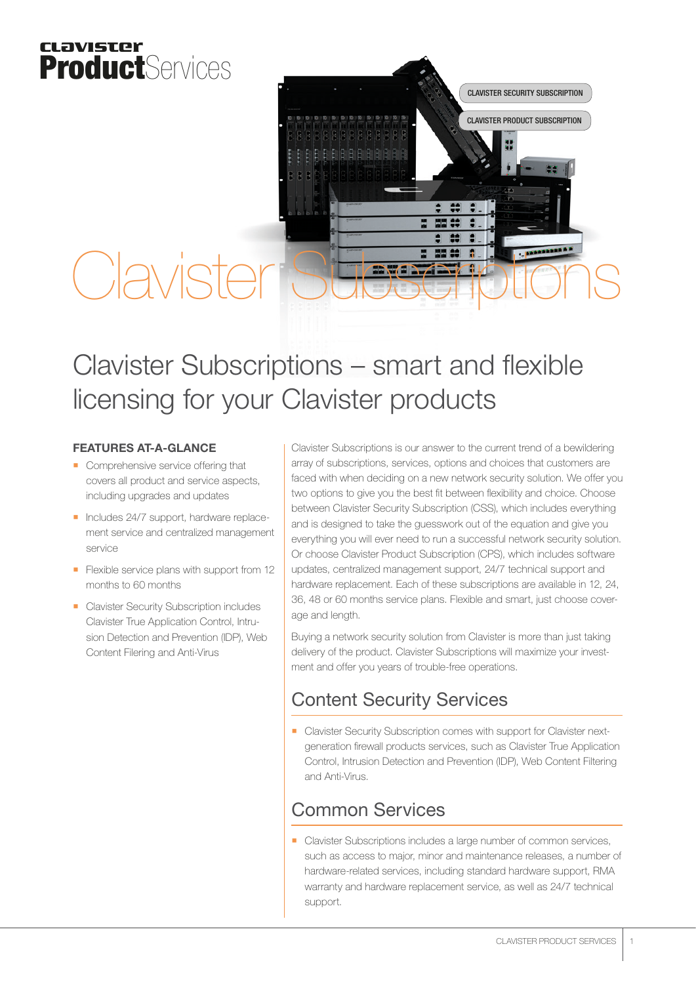## clavister ProductServices



# Clavister Subscriptions

## Clavister Subscriptions – smart and flexible licensing for your Clavister products

#### FEATURES AT-A-GLANCE

- Comprehensive service offering that covers all product and service aspects, including upgrades and updates
- Includes 24/7 support, hardware replacement service and centralized management service
- **Flexible service plans with support from 12** months to 60 months
- **Clavister Security Subscription includes** Clavister True Application Control, Intrusion Detection and Prevention (IDP), Web Content Filering and Anti-Virus

Clavister Subscriptions is our answer to the current trend of a bewildering array of subscriptions, services, options and choices that customers are faced with when deciding on a new network security solution. We offer you two options to give you the best fit between flexibility and choice. Choose between Clavister Security Subscription (CSS), which includes everything and is designed to take the guesswork out of the equation and give you everything you will ever need to run a successful network security solution. Or choose Clavister Product Subscription (CPS), which includes software updates, centralized management support, 24/7 technical support and hardware replacement. Each of these subscriptions are available in 12, 24, 36, 48 or 60 months service plans. Flexible and smart, just choose coverage and length.

Buying a network security solution from Clavister is more than just taking delivery of the product. Clavister Subscriptions will maximize your investment and offer you years of trouble-free operations.

## Content Security Services

**Clavister Security Subscription comes with support for Clavister next**generation firewall products services, such as Clavister True Application Control, Intrusion Detection and Prevention (IDP), Web Content Filtering and Anti-Virus.

## Common Services

Clavister Subscriptions includes a large number of common services, such as access to major, minor and maintenance releases, a number of hardware-related services, including standard hardware support, RMA warranty and hardware replacement service, as well as 24/7 technical support.